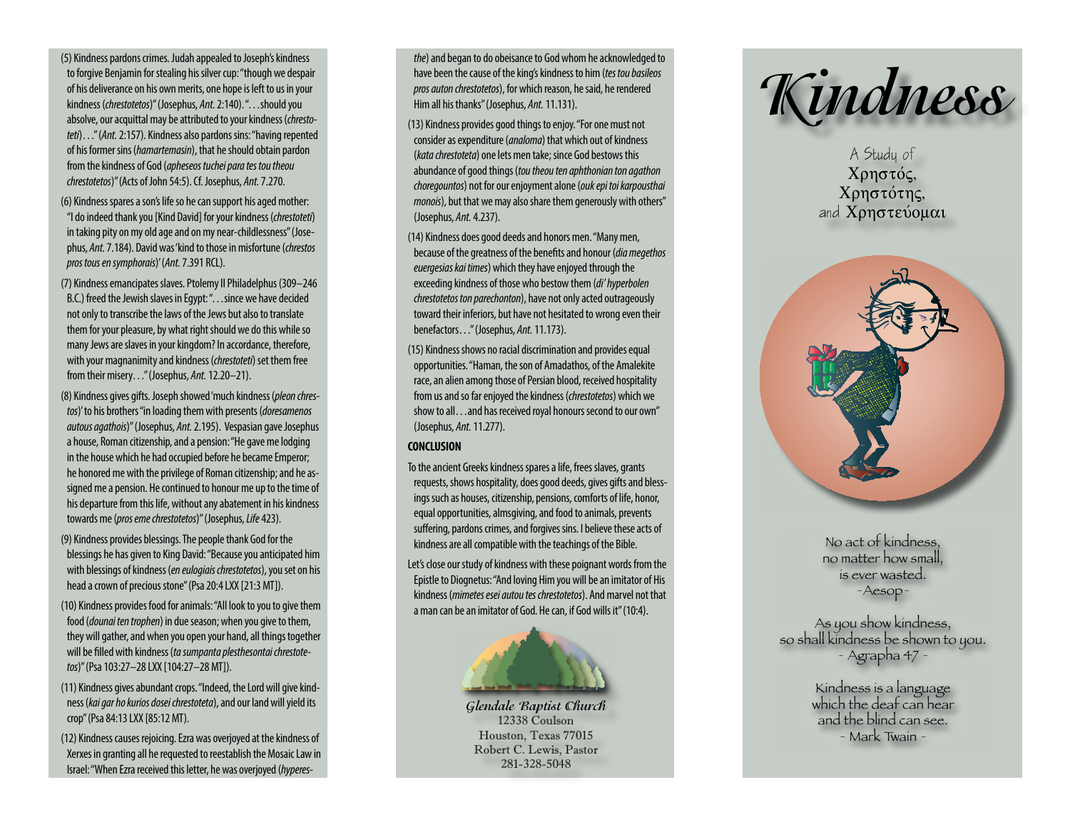(5) Kindness pardons crimes. Judah appealed to Joseph's kindness to forgive Benjamin for stealing his silver cup: "though we despair of his deliverance on his own merits, one hope is left to us in your kindness (*chrestotetos*)" (Josephus, *Ant.* 2:140). "…should you absolve, our acquittal may be attributed to your kindness (*chrestoteti*)…" (*Ant.* 2:157). Kindness also pardons sins: "having repented of his former sins (*hamartemasin*), that he should obtain pardon from the kindness of God (*apheseos tuchei para tes tou theou chrestotetos*)" (Acts of John 54:5). Cf. Josephus, *Ant.* 7.270.

- (6) Kindness spares a son's life so he can support his aged mother: "I do indeed thank you [Kind David] for your kindness (*chrestoteti*) in taking pity on my old age and on my near-childlessness" (Josephus, *Ant.* 7.184). David was 'kind to those in misfortune (*chrestos pros tous en symphorais*)' (*Ant.* 7.391 RCL).
- (7) Kindness emancipates slaves. Ptolemy II Philadelphus (309–246 B.C.) freed the Jewish slaves in Egypt: "…since we have decided not only to transcribe the laws of the Jews but also to translate them for your pleasure, by what right should we do this while so many Jews are slaves in your kingdom? In accordance, therefore, with your magnanimity and kindness (*chrestoteti*) set them free from their misery…" (Josephus, *Ant.* 12.20–21).
- (8) Kindness gives gifts. Joseph showed 'much kindness (*pleon chrestos*)' to his brothers "in loading them with presents (*doresamenos autous agathois*)" (Josephus, *Ant.* 2.195). Vespasian gave Josephus a house, Roman citizenship, and a pension: "He gave me lodging in the house which he had occupied before he became Emperor; he honored me with the privilege of Roman citizenship; and he assigned me a pension. He continued to honour me up to the time of his departure from this life, without any abatement in his kindness towards me (*pros eme chrestotetos*)" (Josephus, *Life* 423).
- (9) Kindness provides blessings. The people thank God for the blessings he has given to King David: "Because you anticipated him with blessings of kindness (*en eulogiais chrestotetos*), you set on his head a crown of precious stone" (Psa 20:4 LXX [21:3 MT]).
- (10) Kindness provides food for animals: "All look to you to give them food (*dounai ten trophen*) in due season; when you give to them, they will gather, and when you open your hand, all things together will be filled with kindness (*ta sumpanta plesthesontai chrestotetos*)" (Psa 103:27–28 LXX [104:27–28 MT]).
- (11) Kindness gives abundant crops. "Indeed, the Lord will give kindness (*kai gar ho kurios dosei chrestoteta*), and our land will yield its crop" (Psa 84:13 LXX [85:12 MT).
- (12) Kindness causes rejoicing. Ezra was overjoyed at the kindness of Xerxes in granting all he requested to reestablish the Mosaic Law in Israel: "When Ezra received this letter, he was overjoyed (*hyperes-*

*the*) and began to do obeisance to God whom he acknowledged to have been the cause of the king's kindness to him (*tes tou basileos pros auton chrestotetos*), for which reason, he said, he rendered Him all his thanks" (Josephus, *Ant.* 11.131).

- (13) Kindness provides good things to enjoy. "For one must not consider as expenditure (*analoma*) that which out of kindness (*kata chrestoteta*) one lets men take; since God bestows this abundance of good things (*tou theou ten aphthonian ton agathon choregountos*) not for our enjoyment alone (*ouk epi toi karpousthai monois*), but that we may also share them generously with others" (Josephus, *Ant.* 4.237).
- (14) Kindness does good deeds and honors men. "Many men, because of the greatness of the benefits and honour (*dia megethos euergesias kai times*) which they have enjoyed through the exceeding kindness of those who bestow them (*di' hyperbolen chrestotetos ton parechonton*), have not only acted outrageously toward their inferiors, but have not hesitated to wrong even their benefactors…" (Josephus, *Ant.* 11.173).
- (15) Kindness shows no racial discrimination and provides equal opportunities. "Haman, the son of Amadathos, of the Amalekite race, an alien among those of Persian blood, received hospitality from us and so far enjoyed the kindness (*chrestotetos*) which we show to all...and has received royal honours second to our own" (Josephus, *Ant.* 11.277).

## **CONCLUSION**

To the ancient Greeks kindness spares a life, frees slaves, grants requests, shows hospitality, does good deeds, gives gifts and blessings such as houses, citizenship, pensions, comforts of life, honor, equal opportunities, almsgiving, and food to animals, prevents suffering, pardons crimes, and forgives sins. I believe these acts of kindness are all compatible with the teachings of the Bible.

Let's close our study of kindness with these poignant words from the Epistle to Diognetus: "And loving Him you will be an imitator of His kindness (*mimetes esei autou tes chrestotetos*). And marvel not that a man can be an imitator of God. He can, if God wills it" (10:4).



**Glendale Baptist Church** 12338 Coulson Houston, Texas 77015 Robert C. Lewis, Pastor 281-328-5048



**A Study of** Χρηστός, Xρηστότης, and **Xonotevoual** 



No act of kindness, no matter how small, is ever wasted. ~Aesop~

As you show kindness, so shall kindness be shown to you. ~ Agrapha 47 ~

> Kindness is a language which the deaf can hear and the blind can see. ~ Mark Twain ~